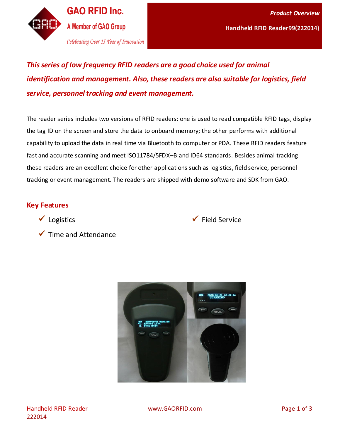

*This series of low frequency RFID readers are a good choice used for animal identification and management. Also, these readers are also suitable for logistics, field service, personnel tracking and event management.* 

The reader series includes two versions of RFID readers: one is used to read compatible RFID tags, display the tag ID on the screen and store the data to onboard memory; the other performs with additional capability to upload the data in real time via Bluetooth to computer or PDA. These RFID readers feature fast and accurate scanning and meet ISO11784/5FDX–B and ID64 standards. Besides animal tracking these readers are an excellent choice for other applications such as logistics, field service, personnel tracking or event management. The readers are shipped with demo software and SDK from GAO.

## **Key Features**

 $\checkmark$  Logistics



 $\checkmark$  Time and Attendance

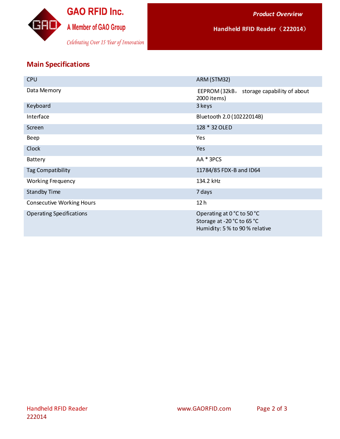

**Handheld RFID Reader**(**222014**)

## **Main Specifications**

| <b>CPU</b>                       | ARM (STM32)                                                                                |
|----------------------------------|--------------------------------------------------------------------------------------------|
| Data Memory                      | EEPROM (32kB,<br>storage capability of about<br>2000 items)                                |
| Keyboard                         | 3 keys                                                                                     |
| Interface                        | Bluetooth 2.0 (10222014B)                                                                  |
| Screen                           | 128 * 32 OLED                                                                              |
| Beep                             | Yes                                                                                        |
| Clock                            | Yes                                                                                        |
| Battery                          | AA * 3PCS                                                                                  |
| <b>Tag Compatibility</b>         | 11784/85 FDX-B and ID64                                                                    |
| <b>Working Frequency</b>         | 134.2 kHz                                                                                  |
| <b>Standby Time</b>              | 7 days                                                                                     |
| <b>Consecutive Working Hours</b> | 12 <sub>h</sub>                                                                            |
| <b>Operating Specifications</b>  | Operating at 0 °C to 50 °C<br>Storage at -20 °C to 65 °C<br>Humidity: 5 % to 90 % relative |